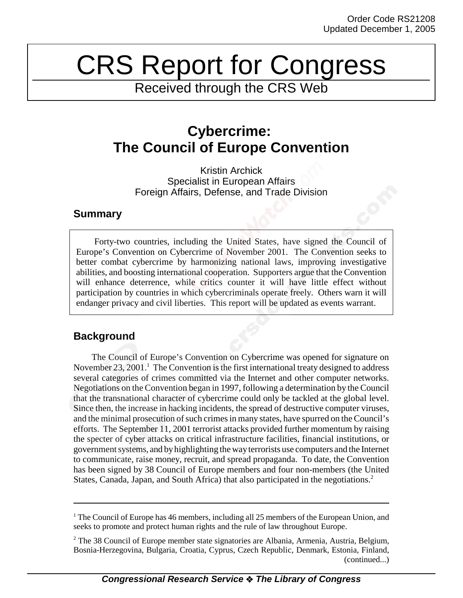# CRS Report for Congress

Received through the CRS Web

# **Cybercrime: The Council of Europe Convention**

Kristin Archick Specialist in European Affairs Foreign Affairs, Defense, and Trade Division

### **Summary**

Forty-two countries, including the United States, have signed the Council of Europe's Convention on Cybercrime of November 2001. The Convention seeks to better combat cybercrime by harmonizing national laws, improving investigative abilities, and boosting international cooperation. Supporters argue that the Convention will enhance deterrence, while critics counter it will have little effect without participation by countries in which cybercriminals operate freely. Others warn it will endanger privacy and civil liberties. This report will be updated as events warrant.

## **Background**

The Council of Europe's Convention on Cybercrime was opened for signature on November 23, 2001.<sup>1</sup> The Convention is the first international treaty designed to address several categories of crimes committed via the Internet and other computer networks. Negotiations on the Convention began in 1997, following a determination by the Council that the transnational character of cybercrime could only be tackled at the global level. Since then, the increase in hacking incidents, the spread of destructive computer viruses, and the minimal prosecution of such crimes in many states, have spurred on the Council's efforts. The September 11, 2001 terrorist attacks provided further momentum by raising the specter of cyber attacks on critical infrastructure facilities, financial institutions, or government systems, and by highlighting the way terrorists use computers and the Internet to communicate, raise money, recruit, and spread propaganda. To date, the Convention has been signed by 38 Council of Europe members and four non-members (the United States, Canada, Japan, and South Africa) that also participated in the negotiations.<sup>2</sup>

<sup>&</sup>lt;sup>1</sup> The Council of Europe has 46 members, including all 25 members of the European Union, and seeks to promote and protect human rights and the rule of law throughout Europe.

<sup>&</sup>lt;sup>2</sup> The 38 Council of Europe member state signatories are Albania, Armenia, Austria, Belgium, Bosnia-Herzegovina, Bulgaria, Croatia, Cyprus, Czech Republic, Denmark, Estonia, Finland, (continued...)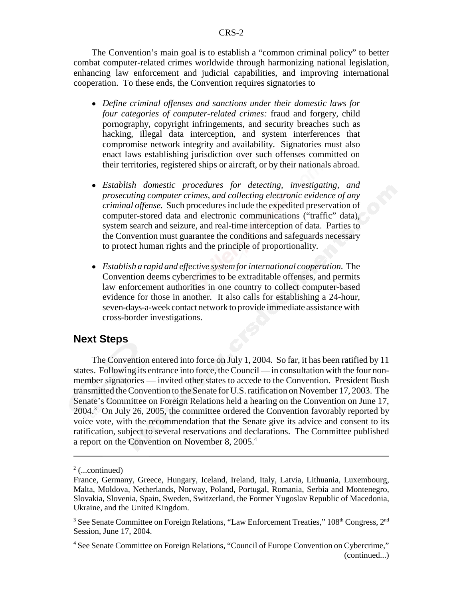The Convention's main goal is to establish a "common criminal policy" to better combat computer-related crimes worldwide through harmonizing national legislation, enhancing law enforcement and judicial capabilities, and improving international cooperation. To these ends, the Convention requires signatories to

- ! *Define criminal offenses and sanctions under their domestic laws for four categories of computer-related crimes:* fraud and forgery, child pornography, copyright infringements, and security breaches such as hacking, illegal data interception, and system interferences that compromise network integrity and availability. Signatories must also enact laws establishing jurisdiction over such offenses committed on their territories, registered ships or aircraft, or by their nationals abroad.
- ! *Establish domestic procedures for detecting, investigating, and prosecuting computer crimes, and collecting electronic evidence of any criminal offense.* Such procedures include the expedited preservation of computer-stored data and electronic communications ("traffic" data), system search and seizure, and real-time interception of data. Parties to the Convention must guarantee the conditions and safeguards necessary to protect human rights and the principle of proportionality.
- ! *Establish a rapid and effective system for international cooperation.* The Convention deems cybercrimes to be extraditable offenses, and permits law enforcement authorities in one country to collect computer-based evidence for those in another. It also calls for establishing a 24-hour, seven-days-a-week contact network to provide immediate assistance with cross-border investigations.

#### **Next Steps**

The Convention entered into force on July 1, 2004. So far, it has been ratified by 11 states. Following its entrance into force, the Council — in consultation with the four nonmember signatories — invited other states to accede to the Convention. President Bush transmitted the Convention to the Senate for U.S. ratification on November 17, 2003. The Senate's Committee on Foreign Relations held a hearing on the Convention on June 17, 2004.<sup>3</sup> On July 26, 2005, the committee ordered the Convention favorably reported by voice vote, with the recommendation that the Senate give its advice and consent to its ratification, subject to several reservations and declarations. The Committee published a report on the Convention on November 8, 2005.4

 $2$  (...continued)

France, Germany, Greece, Hungary, Iceland, Ireland, Italy, Latvia, Lithuania, Luxembourg, Malta, Moldova, Netherlands, Norway, Poland, Portugal, Romania, Serbia and Montenegro, Slovakia, Slovenia, Spain, Sweden, Switzerland, the Former Yugoslav Republic of Macedonia, Ukraine, and the United Kingdom.

<sup>&</sup>lt;sup>3</sup> See Senate Committee on Foreign Relations, "Law Enforcement Treaties,"  $108<sup>th</sup>$  Congress,  $2<sup>nd</sup>$ Session, June 17, 2004.

<sup>&</sup>lt;sup>4</sup> See Senate Committee on Foreign Relations, "Council of Europe Convention on Cybercrime," (continued...)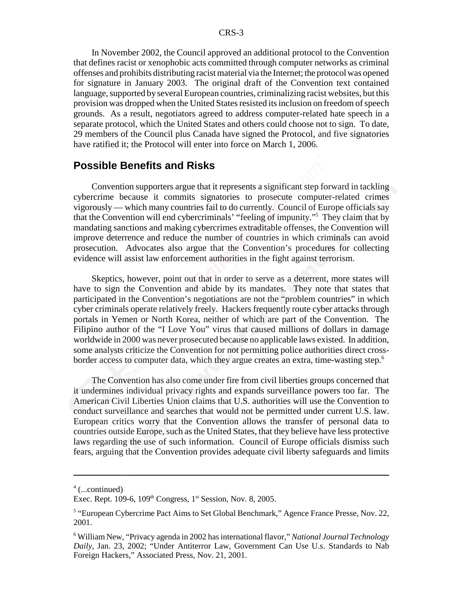In November 2002, the Council approved an additional protocol to the Convention that defines racist or xenophobic acts committed through computer networks as criminal offenses and prohibits distributing racist material via the Internet; the protocol was opened for signature in January 2003. The original draft of the Convention text contained language, supported by several European countries, criminalizing racist websites, but this provision was dropped when the United States resisted its inclusion on freedom of speech grounds. As a result, negotiators agreed to address computer-related hate speech in a separate protocol, which the United States and others could choose not to sign. To date, 29 members of the Council plus Canada have signed the Protocol, and five signatories have ratified it; the Protocol will enter into force on March 1, 2006.

#### **Possible Benefits and Risks**

Convention supporters argue that it represents a significant step forward in tackling cybercrime because it commits signatories to prosecute computer-related crimes vigorously — which many countries fail to do currently. Council of Europe officials say that the Convention will end cybercriminals' "feeling of impunity."5 They claim that by mandating sanctions and making cybercrimes extraditable offenses, the Convention will improve deterrence and reduce the number of countries in which criminals can avoid prosecution. Advocates also argue that the Convention's procedures for collecting evidence will assist law enforcement authorities in the fight against terrorism.

Skeptics, however, point out that in order to serve as a deterrent, more states will have to sign the Convention and abide by its mandates. They note that states that participated in the Convention's negotiations are not the "problem countries" in which cyber criminals operate relatively freely. Hackers frequently route cyber attacks through portals in Yemen or North Korea, neither of which are part of the Convention. The Filipino author of the "I Love You" virus that caused millions of dollars in damage worldwide in 2000 was never prosecuted because no applicable laws existed. In addition, some analysts criticize the Convention for not permitting police authorities direct crossborder access to computer data, which they argue creates an extra, time-wasting step.<sup>6</sup>

The Convention has also come under fire from civil liberties groups concerned that it undermines individual privacy rights and expands surveillance powers too far. The American Civil Liberties Union claims that U.S. authorities will use the Convention to conduct surveillance and searches that would not be permitted under current U.S. law. European critics worry that the Convention allows the transfer of personal data to countries outside Europe, such as the United States, that they believe have less protective laws regarding the use of such information. Council of Europe officials dismiss such fears, arguing that the Convention provides adequate civil liberty safeguards and limits

<sup>4</sup> (...continued)

Exec. Rept.  $109-6$ ,  $109<sup>th</sup> Congress$ ,  $1<sup>st</sup> Session$ , Nov. 8, 2005.

<sup>&</sup>lt;sup>5</sup> "European Cybercrime Pact Aims to Set Global Benchmark," Agence France Presse, Nov. 22, 2001.

<sup>6</sup> William New, "Privacy agenda in 2002 has international flavor," *National Journal Technology Daily*, Jan. 23, 2002; "Under Antiterror Law, Government Can Use U.s. Standards to Nab Foreign Hackers," Associated Press, Nov. 21, 2001.